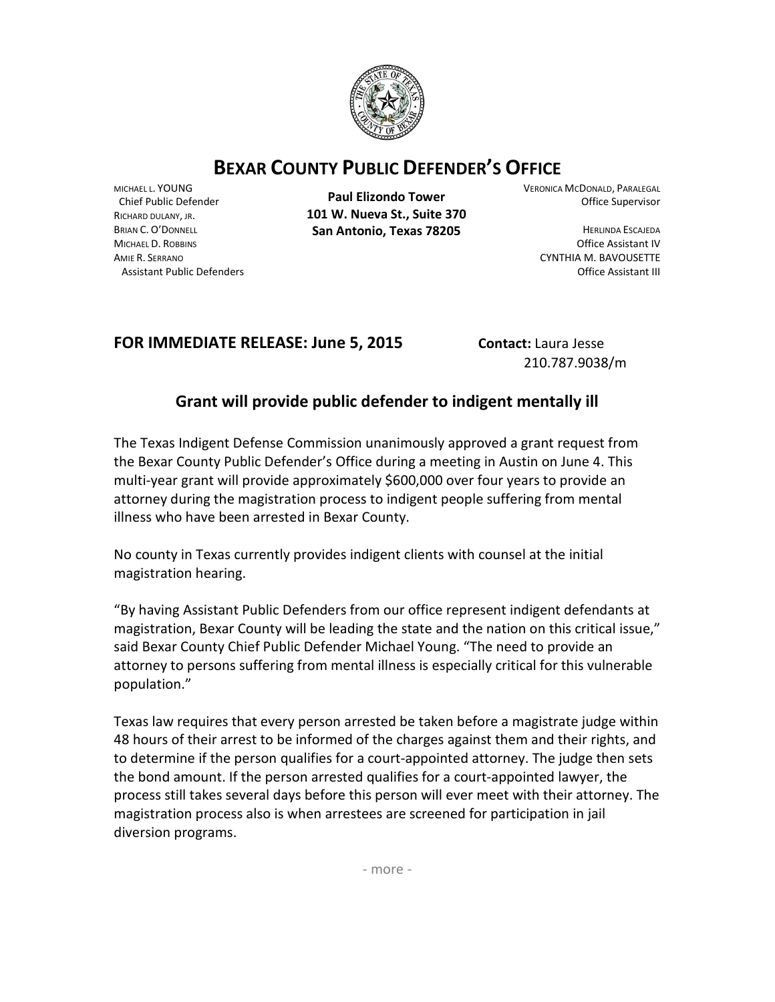

## **BEXAR COUNTY PUBLIC DEFENDER'S OFFICE**

MICHAEL L. YOUNG Chief Public Defender RICHARD DULANY, JR. BRIAN C. O'DONNELL MICHAEL D. ROBBINS AMIE R. SERRANO Assistant Public Defenders

**Paul Elizondo Tower 101 W. Nueva St., Suite 370 San Antonio, Texas 78205**

VERONICA MCDONALD, PARALEGAL Office Supervisor

> HERLINDA ESCAJEDA Office Assistant IV CYNTHIA M. BAVOUSETTE Office Assistant III

## **FOR IMMEDIATE RELEASE: June 5, 2015 Contact: Laura Jesse**

210.787.9038/m

## **Grant will provide public defender to indigent mentally ill**

The Texas Indigent Defense Commission unanimously approved a grant request from the Bexar County Public Defender's Office during a meeting in Austin on June 4. This multi-year grant will provide approximately \$600,000 over four years to provide an attorney during the magistration process to indigent people suffering from mental illness who have been arrested in Bexar County.

No county in Texas currently provides indigent clients with counsel at the initial magistration hearing.

"By having Assistant Public Defenders from our office represent indigent defendants at magistration, Bexar County will be leading the state and the nation on this critical issue," said Bexar County Chief Public Defender Michael Young. "The need to provide an attorney to persons suffering from mental illness is especially critical for this vulnerable population."

Texas law requires that every person arrested be taken before a magistrate judge within 48 hours of their arrest to be informed of the charges against them and their rights, and to determine if the person qualifies for a court-appointed attorney. The judge then sets the bond amount. If the person arrested qualifies for a court-appointed lawyer, the process still takes several days before this person will ever meet with their attorney. The magistration process also is when arrestees are screened for participation in jail diversion programs.

- more -